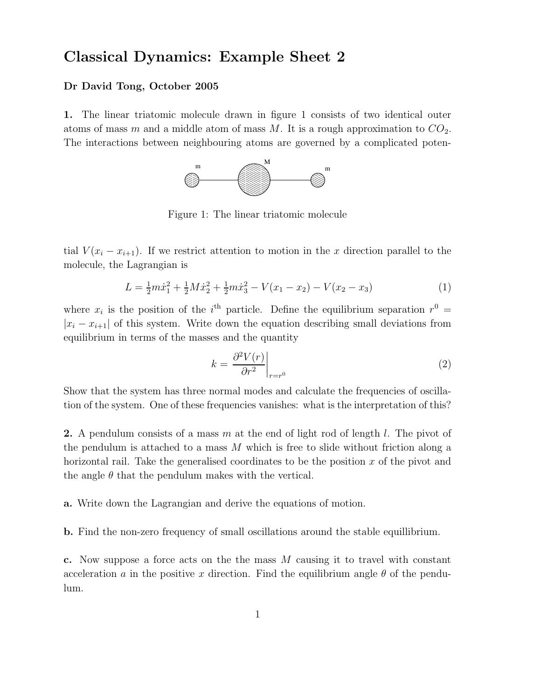## Classical Dynamics: Example Sheet 2

## Dr David Tong, October 2005

1. The linear triatomic molecule drawn in figure 1 consists of two identical outer atoms of mass m and a middle atom of mass M. It is a rough approximation to  $CO_2$ . The interactions between neighbouring atoms are governed by a complicated poten-



Figure 1: The linear triatomic molecule

tial  $V(x_i - x_{i+1})$ . If we restrict attention to motion in the x direction parallel to the molecule, the Lagrangian is

$$
L = \frac{1}{2}m\dot{x}_1^2 + \frac{1}{2}M\dot{x}_2^2 + \frac{1}{2}m\dot{x}_3^2 - V(x_1 - x_2) - V(x_2 - x_3)
$$
 (1)

where  $x_i$  is the position of the  $i^{\text{th}}$  particle. Define the equilibrium separation  $r^0$  =  $|x_i - x_{i+1}|$  of this system. Write down the equation describing small deviations from equilibrium in terms of the masses and the quantity

$$
k = \left. \frac{\partial^2 V(r)}{\partial r^2} \right|_{r=r^0} \tag{2}
$$

Show that the system has three normal modes and calculate the frequencies of oscillation of the system. One of these frequencies vanishes: what is the interpretation of this?

**2.** A pendulum consists of a mass m at the end of light rod of length l. The pivot of the pendulum is attached to a mass  $M$  which is free to slide without friction along a horizontal rail. Take the generalised coordinates to be the position  $x$  of the pivot and the angle  $\theta$  that the pendulum makes with the vertical.

a. Write down the Lagrangian and derive the equations of motion.

b. Find the non-zero frequency of small oscillations around the stable equillibrium.

c. Now suppose a force acts on the the mass M causing it to travel with constant acceleration a in the positive x direction. Find the equilibrium angle  $\theta$  of the pendulum.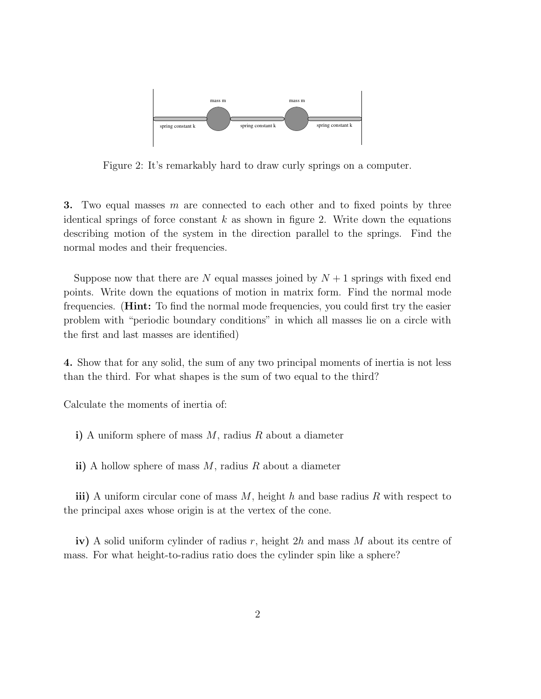

Figure 2: It's remarkably hard to draw curly springs on a computer.

3. Two equal masses  $m$  are connected to each other and to fixed points by three identical springs of force constant  $k$  as shown in figure 2. Write down the equations describing motion of the system in the direction parallel to the springs. Find the normal modes and their frequencies.

Suppose now that there are N equal masses joined by  $N+1$  springs with fixed end points. Write down the equations of motion in matrix form. Find the normal mode frequencies. (Hint: To find the normal mode frequencies, you could first try the easier problem with "periodic boundary conditions" in which all masses lie on a circle with the first and last masses are identified)

4. Show that for any solid, the sum of any two principal moments of inertia is not less than the third. For what shapes is the sum of two equal to the third?

Calculate the moments of inertia of:

i) A uniform sphere of mass  $M$ , radius  $R$  about a diameter

ii) A hollow sphere of mass  $M$ , radius  $R$  about a diameter

iii) A uniform circular cone of mass  $M$ , height h and base radius R with respect to the principal axes whose origin is at the vertex of the cone.

iv) A solid uniform cylinder of radius r, height  $2h$  and mass M about its centre of mass. For what height-to-radius ratio does the cylinder spin like a sphere?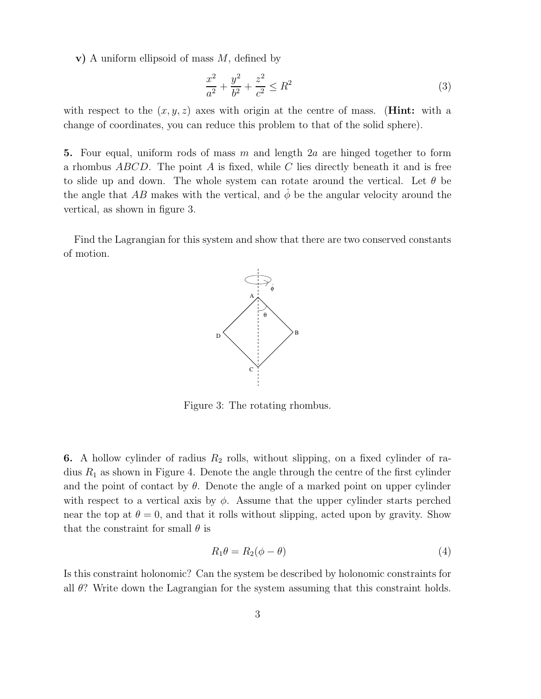v) A uniform ellipsoid of mass  $M$ , defined by

$$
\frac{x^2}{a^2} + \frac{y^2}{b^2} + \frac{z^2}{c^2} \le R^2
$$
\n(3)

with respect to the  $(x, y, z)$  axes with origin at the centre of mass. (**Hint:** with a change of coordinates, you can reduce this problem to that of the solid sphere).

5. Four equal, uniform rods of mass m and length  $2a$  are hinged together to form a rhombus  $ABCD$ . The point A is fixed, while C lies directly beneath it and is free to slide up and down. The whole system can rotate around the vertical. Let  $\theta$  be the angle that AB makes with the vertical, and  $\phi$  be the angular velocity around the vertical, as shown in figure 3.

Find the Lagrangian for this system and show that there are two conserved constants of motion.



Figure 3: The rotating rhombus.

**6.** A hollow cylinder of radius  $R_2$  rolls, without slipping, on a fixed cylinder of radius  $R_1$  as shown in Figure 4. Denote the angle through the centre of the first cylinder and the point of contact by  $\theta$ . Denote the angle of a marked point on upper cylinder with respect to a vertical axis by  $\phi$ . Assume that the upper cylinder starts perched near the top at  $\theta = 0$ , and that it rolls without slipping, acted upon by gravity. Show that the constraint for small  $\theta$  is

$$
R_1 \theta = R_2(\phi - \theta) \tag{4}
$$

Is this constraint holonomic? Can the system be described by holonomic constraints for all θ? Write down the Lagrangian for the system assuming that this constraint holds.